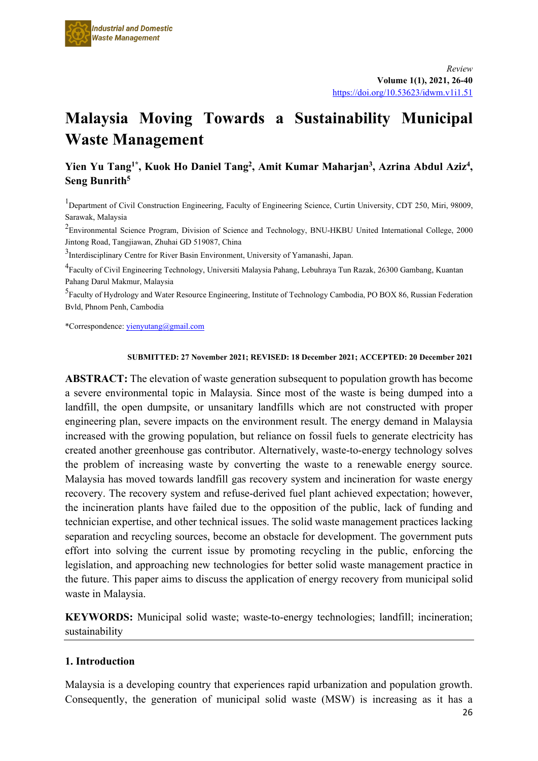# **Malaysia Moving Towards a Sustainability Municipal Waste Management**

# **Yien Yu Tang1\*, Kuok Ho Daniel Tang2, Amit Kumar Maharjan3, Azrina Abdul Aziz4 , Seng Bunrith5**

<sup>1</sup>Department of Civil Construction Engineering, Faculty of Engineering Science, Curtin University, CDT 250, Miri, 98009, Sarawak, Malaysia

 $2$ Environmental Science Program, Division of Science and Technology, BNU-HKBU United International College, 2000 Jintong Road, Tangjiawan, Zhuhai GD 519087, China

<sup>3</sup>Interdisciplinary Centre for River Basin Environment, University of Yamanashi, Japan.

4 Faculty of Civil Engineering Technology, Universiti Malaysia Pahang, Lebuhraya Tun Razak, 26300 Gambang, Kuantan Pahang Darul Makmur, Malaysia

<sup>5</sup> Faculty of Hydrology and Water Resource Engineering, Institute of Technology Cambodia, PO BOX 86, Russian Federation Bvld, Phnom Penh, Cambodia

\*Correspondence[: yienyutang@gmail.com](mailto:yienyutang@gmail.com)

#### **SUBMITTED: 27 November 2021; REVISED: 18 December 2021; ACCEPTED: 20 December 2021**

**ABSTRACT:** The elevation of waste generation subsequent to population growth has become a severe environmental topic in Malaysia. Since most of the waste is being dumped into a landfill, the open dumpsite, or unsanitary landfills which are not constructed with proper engineering plan, severe impacts on the environment result. The energy demand in Malaysia increased with the growing population, but reliance on fossil fuels to generate electricity has created another greenhouse gas contributor. Alternatively, waste-to-energy technology solves the problem of increasing waste by converting the waste to a renewable energy source. Malaysia has moved towards landfill gas recovery system and incineration for waste energy recovery. The recovery system and refuse-derived fuel plant achieved expectation; however, the incineration plants have failed due to the opposition of the public, lack of funding and technician expertise, and other technical issues. The solid waste management practices lacking separation and recycling sources, become an obstacle for development. The government puts effort into solving the current issue by promoting recycling in the public, enforcing the legislation, and approaching new technologies for better solid waste management practice in the future. This paper aims to discuss the application of energy recovery from municipal solid waste in Malaysia.

**KEYWORDS:** Municipal solid waste; waste-to-energy technologies; landfill; incineration; sustainability

## **1. Introduction**

Malaysia is a developing country that experiences rapid urbanization and population growth. Consequently, the generation of municipal solid waste (MSW) is increasing as it has a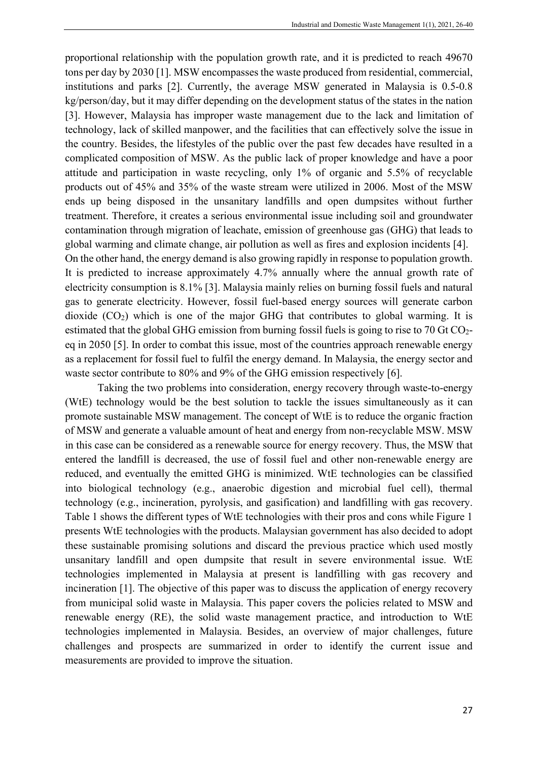proportional relationship with the population growth rate, and it is predicted to reach 49670 tons per day by 2030 [1]. MSW encompasses the waste produced from residential, commercial, institutions and parks [2]. Currently, the average MSW generated in Malaysia is 0.5-0.8 kg/person/day, but it may differ depending on the development status of the states in the nation [3]. However, Malaysia has improper waste management due to the lack and limitation of technology, lack of skilled manpower, and the facilities that can effectively solve the issue in the country. Besides, the lifestyles of the public over the past few decades have resulted in a complicated composition of MSW. As the public lack of proper knowledge and have a poor attitude and participation in waste recycling, only 1% of organic and 5.5% of recyclable products out of 45% and 35% of the waste stream were utilized in 2006. Most of the MSW ends up being disposed in the unsanitary landfills and open dumpsites without further treatment. Therefore, it creates a serious environmental issue including soil and groundwater contamination through migration of leachate, emission of greenhouse gas (GHG) that leads to global warming and climate change, air pollution as well as fires and explosion incidents [4]. On the other hand, the energy demand is also growing rapidly in response to population growth. It is predicted to increase approximately 4.7% annually where the annual growth rate of

electricity consumption is 8.1% [3]. Malaysia mainly relies on burning fossil fuels and natural gas to generate electricity. However, fossil fuel-based energy sources will generate carbon dioxide  $(CO_2)$  which is one of the major GHG that contributes to global warming. It is estimated that the global GHG emission from burning fossil fuels is going to rise to 70 Gt CO<sub>2</sub>eq in 2050 [5]. In order to combat this issue, most of the countries approach renewable energy as a replacement for fossil fuel to fulfil the energy demand. In Malaysia, the energy sector and waste sector contribute to 80% and 9% of the GHG emission respectively [6].

Taking the two problems into consideration, energy recovery through waste-to-energy (WtE) technology would be the best solution to tackle the issues simultaneously as it can promote sustainable MSW management. The concept of WtE is to reduce the organic fraction of MSW and generate a valuable amount of heat and energy from non-recyclable MSW. MSW in this case can be considered as a renewable source for energy recovery. Thus, the MSW that entered the landfill is decreased, the use of fossil fuel and other non-renewable energy are reduced, and eventually the emitted GHG is minimized. WtE technologies can be classified into biological technology (e.g., anaerobic digestion and microbial fuel cell), thermal technology (e.g., incineration, pyrolysis, and gasification) and landfilling with gas recovery. Table 1 shows the different types of WtE technologies with their pros and cons while Figure 1 presents WtE technologies with the products. Malaysian government has also decided to adopt these sustainable promising solutions and discard the previous practice which used mostly unsanitary landfill and open dumpsite that result in severe environmental issue. WtE technologies implemented in Malaysia at present is landfilling with gas recovery and incineration [1]. The objective of this paper was to discuss the application of energy recovery from municipal solid waste in Malaysia. This paper covers the policies related to MSW and renewable energy (RE), the solid waste management practice, and introduction to WtE technologies implemented in Malaysia. Besides, an overview of major challenges, future challenges and prospects are summarized in order to identify the current issue and measurements are provided to improve the situation.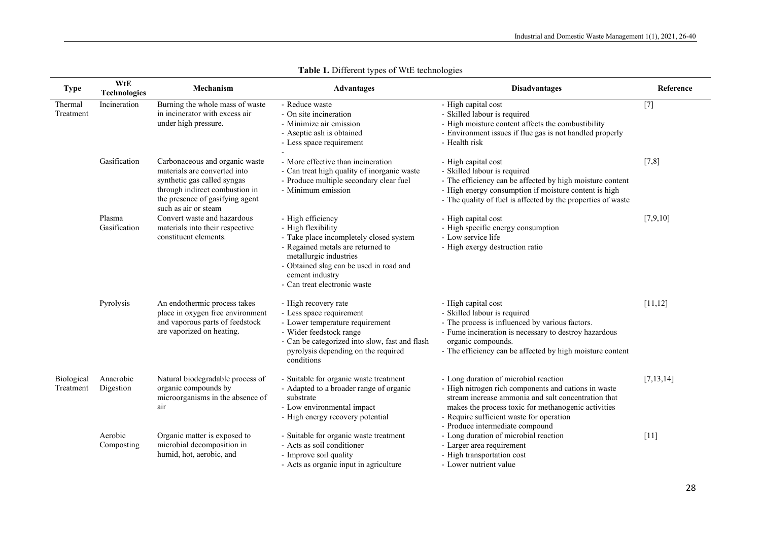| <b>Type</b>                    | WtE<br><b>Technologies</b> | Mechanism                                                                                                                                                                                  | <b>Advantages</b>                                                                                                                                                                                                                               | <b>Disadvantages</b>                                                                                                                                                                                                                                                                       | Reference   |
|--------------------------------|----------------------------|--------------------------------------------------------------------------------------------------------------------------------------------------------------------------------------------|-------------------------------------------------------------------------------------------------------------------------------------------------------------------------------------------------------------------------------------------------|--------------------------------------------------------------------------------------------------------------------------------------------------------------------------------------------------------------------------------------------------------------------------------------------|-------------|
| Thermal<br>Treatment           | Incineration               | Burning the whole mass of waste<br>in incinerator with excess air<br>under high pressure.                                                                                                  | - Reduce waste<br>- On site incineration<br>- Minimize air emission<br>- Aseptic ash is obtained<br>- Less space requirement                                                                                                                    | - High capital cost<br>- Skilled labour is required<br>- High moisture content affects the combustibility<br>- Environment issues if flue gas is not handled properly<br>- Health risk                                                                                                     | $[7]$       |
|                                | Gasification               | Carbonaceous and organic waste<br>materials are converted into<br>synthetic gas called syngas<br>through indirect combustion in<br>the presence of gasifying agent<br>such as air or steam | - More effective than incineration<br>- Can treat high quality of inorganic waste<br>- Produce multiple secondary clear fuel<br>- Minimum emission                                                                                              | - High capital cost<br>- Skilled labour is required<br>- The efficiency can be affected by high moisture content<br>- High energy consumption if moisture content is high<br>- The quality of fuel is affected by the properties of waste                                                  | $[7,8]$     |
|                                | Plasma<br>Gasification     | Convert waste and hazardous<br>materials into their respective<br>constituent elements.                                                                                                    | - High efficiency<br>- High flexibility<br>- Take place incompletely closed system<br>- Regained metals are returned to<br>metallurgic industries<br>- Obtained slag can be used in road and<br>cement industry<br>- Can treat electronic waste | - High capital cost<br>- High specific energy consumption<br>- Low service life<br>- High exergy destruction ratio                                                                                                                                                                         | [7,9,10]    |
|                                | Pyrolysis                  | An endothermic process takes<br>place in oxygen free environment<br>and vaporous parts of feedstock<br>are vaporized on heating.                                                           | - High recovery rate<br>- Less space requirement<br>- Lower temperature requirement<br>- Wider feedstock range<br>- Can be categorized into slow, fast and flash<br>pyrolysis depending on the required<br>conditions                           | - High capital cost<br>- Skilled labour is required<br>- The process is influenced by various factors.<br>- Fume incineration is necessary to destroy hazardous<br>organic compounds.<br>- The efficiency can be affected by high moisture content                                         | [11, 12]    |
| <b>Biological</b><br>Treatment | Anaerobic<br>Digestion     | Natural biodegradable process of<br>organic compounds by<br>microorganisms in the absence of<br>air                                                                                        | - Suitable for organic waste treatment<br>- Adapted to a broader range of organic<br>substrate<br>- Low environmental impact<br>- High energy recovery potential                                                                                | - Long duration of microbial reaction<br>- High nitrogen rich components and cations in waste<br>stream increase ammonia and salt concentration that<br>makes the process toxic for methanogenic activities<br>- Require sufficient waste for operation<br>- Produce intermediate compound | [7, 13, 14] |
|                                | Aerobic<br>Composting      | Organic matter is exposed to<br>microbial decomposition in<br>humid, hot, aerobic, and                                                                                                     | - Suitable for organic waste treatment<br>- Acts as soil conditioner<br>- Improve soil quality<br>- Acts as organic input in agriculture                                                                                                        | - Long duration of microbial reaction<br>- Larger area requirement<br>- High transportation cost<br>- Lower nutrient value                                                                                                                                                                 | $[11]$      |

| <b>Table 1.</b> Different types of WtE technologies |  |  |  |  |
|-----------------------------------------------------|--|--|--|--|
|-----------------------------------------------------|--|--|--|--|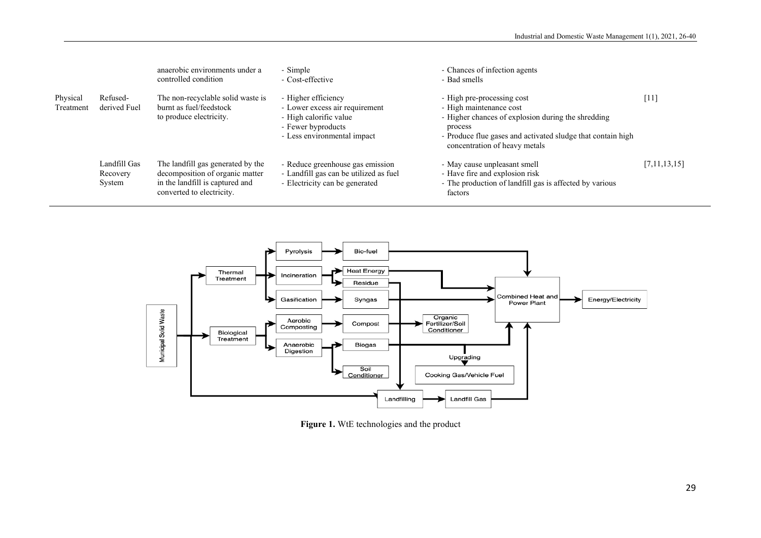|                       |                                    | anaerobic environments under a<br>controlled condition                                                                               | - Simple<br>- Cost-effective                                                                                                         | - Chances of infection agents<br>- Bad smells                                                                                                                                                                          |              |
|-----------------------|------------------------------------|--------------------------------------------------------------------------------------------------------------------------------------|--------------------------------------------------------------------------------------------------------------------------------------|------------------------------------------------------------------------------------------------------------------------------------------------------------------------------------------------------------------------|--------------|
| Physical<br>Treatment | Refused-<br>derived Fuel           | The non-recyclable solid waste is<br>burnt as fuel/feedstock<br>to produce electricity.                                              | - Higher efficiency<br>- Lower excess air requirement<br>- High calorific value<br>- Fewer byproducts<br>- Less environmental impact | - High pre-processing cost<br>- High maintenance cost<br>- Higher chances of explosion during the shredding<br>process<br>- Produce flue gases and activated sludge that contain high<br>concentration of heavy metals | $[11]$       |
|                       | Landfill Gas<br>Recovery<br>System | The landfill gas generated by the<br>decomposition of organic matter<br>in the landfill is captured and<br>converted to electricity. | - Reduce greenhouse gas emission<br>- Landfill gas can be utilized as fuel<br>- Electricity can be generated                         | - May cause unpleasant smell<br>- Have fire and explosion risk<br>- The production of landfill gas is affected by various<br>factors                                                                                   | [7,11,13,15] |



**Figure 1.** WtE technologies and the product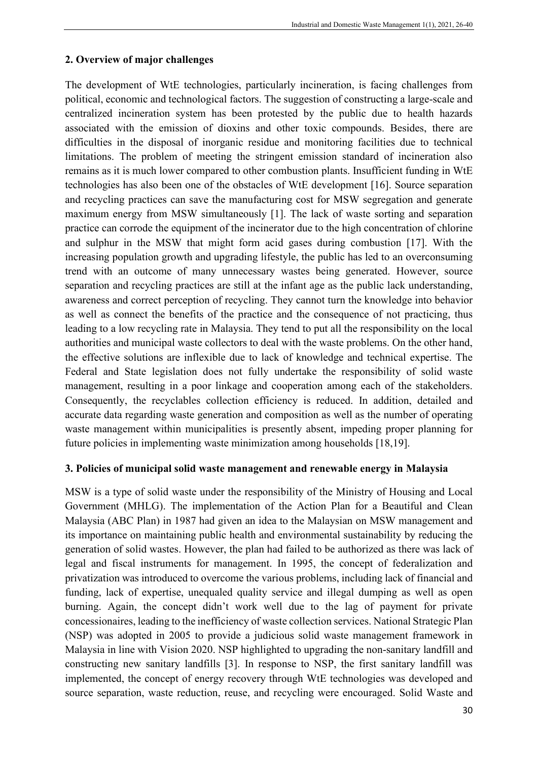## **2. Overview of major challenges**

The development of WtE technologies, particularly incineration, is facing challenges from political, economic and technological factors. The suggestion of constructing a large-scale and centralized incineration system has been protested by the public due to health hazards associated with the emission of dioxins and other toxic compounds. Besides, there are difficulties in the disposal of inorganic residue and monitoring facilities due to technical limitations. The problem of meeting the stringent emission standard of incineration also remains as it is much lower compared to other combustion plants. Insufficient funding in WtE technologies has also been one of the obstacles of WtE development [16]. Source separation and recycling practices can save the manufacturing cost for MSW segregation and generate maximum energy from MSW simultaneously [1]. The lack of waste sorting and separation practice can corrode the equipment of the incinerator due to the high concentration of chlorine and sulphur in the MSW that might form acid gases during combustion [17]. With the increasing population growth and upgrading lifestyle, the public has led to an overconsuming trend with an outcome of many unnecessary wastes being generated. However, source separation and recycling practices are still at the infant age as the public lack understanding, awareness and correct perception of recycling. They cannot turn the knowledge into behavior as well as connect the benefits of the practice and the consequence of not practicing, thus leading to a low recycling rate in Malaysia. They tend to put all the responsibility on the local authorities and municipal waste collectors to deal with the waste problems. On the other hand, the effective solutions are inflexible due to lack of knowledge and technical expertise. The Federal and State legislation does not fully undertake the responsibility of solid waste management, resulting in a poor linkage and cooperation among each of the stakeholders. Consequently, the recyclables collection efficiency is reduced. In addition, detailed and accurate data regarding waste generation and composition as well as the number of operating waste management within municipalities is presently absent, impeding proper planning for future policies in implementing waste minimization among households [18,19].

## **3. Policies of municipal solid waste management and renewable energy in Malaysia**

MSW is a type of solid waste under the responsibility of the Ministry of Housing and Local Government (MHLG). The implementation of the Action Plan for a Beautiful and Clean Malaysia (ABC Plan) in 1987 had given an idea to the Malaysian on MSW management and its importance on maintaining public health and environmental sustainability by reducing the generation of solid wastes. However, the plan had failed to be authorized as there was lack of legal and fiscal instruments for management. In 1995, the concept of federalization and privatization was introduced to overcome the various problems, including lack of financial and funding, lack of expertise, unequaled quality service and illegal dumping as well as open burning. Again, the concept didn't work well due to the lag of payment for private concessionaires, leading to the inefficiency of waste collection services. National Strategic Plan (NSP) was adopted in 2005 to provide a judicious solid waste management framework in Malaysia in line with Vision 2020. NSP highlighted to upgrading the non-sanitary landfill and constructing new sanitary landfills [3]. In response to NSP, the first sanitary landfill was implemented, the concept of energy recovery through WtE technologies was developed and source separation, waste reduction, reuse, and recycling were encouraged. Solid Waste and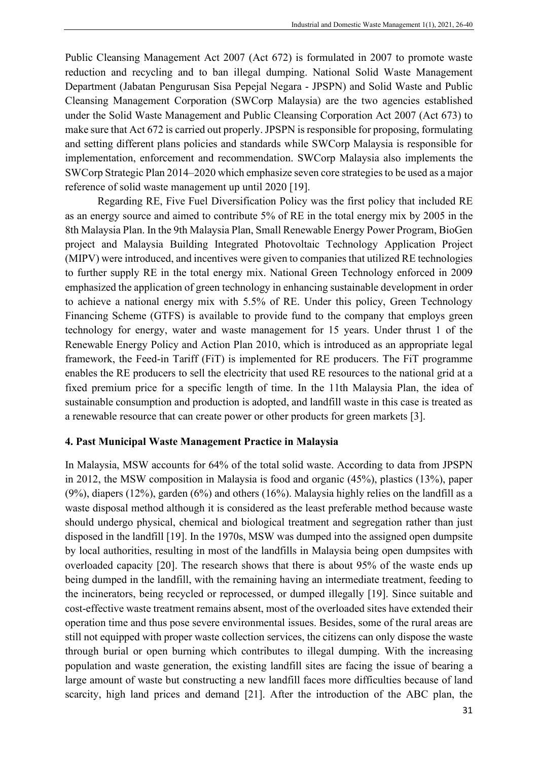Public Cleansing Management Act 2007 (Act 672) is formulated in 2007 to promote waste reduction and recycling and to ban illegal dumping. National Solid Waste Management Department (Jabatan Pengurusan Sisa Pepejal Negara - JPSPN) and Solid Waste and Public Cleansing Management Corporation (SWCorp Malaysia) are the two agencies established under the Solid Waste Management and Public Cleansing Corporation Act 2007 (Act 673) to make sure that Act 672 is carried out properly. JPSPN is responsible for proposing, formulating and setting different plans policies and standards while SWCorp Malaysia is responsible for implementation, enforcement and recommendation. SWCorp Malaysia also implements the SWCorp Strategic Plan 2014–2020 which emphasize seven core strategies to be used as a major reference of solid waste management up until 2020 [19].

Regarding RE, Five Fuel Diversification Policy was the first policy that included RE as an energy source and aimed to contribute 5% of RE in the total energy mix by 2005 in the 8th Malaysia Plan. In the 9th Malaysia Plan, Small Renewable Energy Power Program, BioGen project and Malaysia Building Integrated Photovoltaic Technology Application Project (MIPV) were introduced, and incentives were given to companies that utilized RE technologies to further supply RE in the total energy mix. National Green Technology enforced in 2009 emphasized the application of green technology in enhancing sustainable development in order to achieve a national energy mix with 5.5% of RE. Under this policy, Green Technology Financing Scheme (GTFS) is available to provide fund to the company that employs green technology for energy, water and waste management for 15 years. Under thrust 1 of the Renewable Energy Policy and Action Plan 2010, which is introduced as an appropriate legal framework, the Feed-in Tariff (FiT) is implemented for RE producers. The FiT programme enables the RE producers to sell the electricity that used RE resources to the national grid at a fixed premium price for a specific length of time. In the 11th Malaysia Plan, the idea of sustainable consumption and production is adopted, and landfill waste in this case is treated as a renewable resource that can create power or other products for green markets [3].

## **4. Past Municipal Waste Management Practice in Malaysia**

In Malaysia, MSW accounts for 64% of the total solid waste. According to data from JPSPN in 2012, the MSW composition in Malaysia is food and organic (45%), plastics (13%), paper (9%), diapers (12%), garden (6%) and others (16%). Malaysia highly relies on the landfill as a waste disposal method although it is considered as the least preferable method because waste should undergo physical, chemical and biological treatment and segregation rather than just disposed in the landfill [19]. In the 1970s, MSW was dumped into the assigned open dumpsite by local authorities, resulting in most of the landfills in Malaysia being open dumpsites with overloaded capacity [20]. The research shows that there is about 95% of the waste ends up being dumped in the landfill, with the remaining having an intermediate treatment, feeding to the incinerators, being recycled or reprocessed, or dumped illegally [19]. Since suitable and cost-effective waste treatment remains absent, most of the overloaded sites have extended their operation time and thus pose severe environmental issues. Besides, some of the rural areas are still not equipped with proper waste collection services, the citizens can only dispose the waste through burial or open burning which contributes to illegal dumping. With the increasing population and waste generation, the existing landfill sites are facing the issue of bearing a large amount of waste but constructing a new landfill faces more difficulties because of land scarcity, high land prices and demand [21]. After the introduction of the ABC plan, the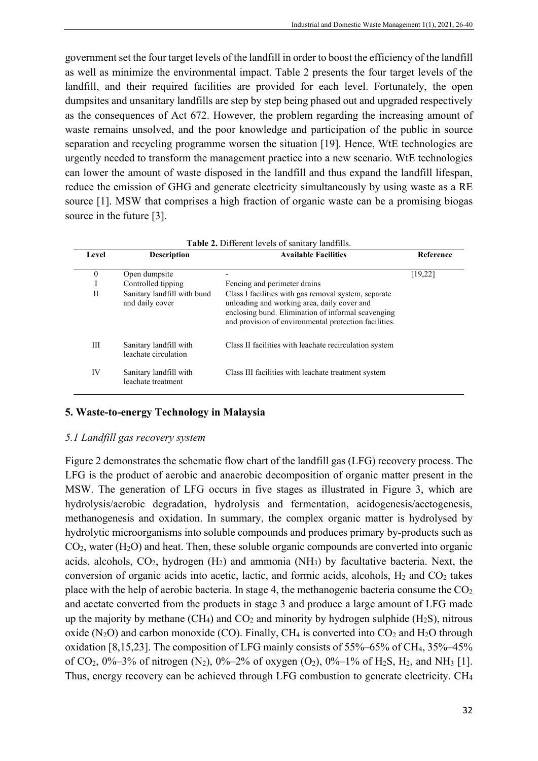government set the four target levels of the landfill in order to boost the efficiency of the landfill as well as minimize the environmental impact. Table 2 presents the four target levels of the landfill, and their required facilities are provided for each level. Fortunately, the open dumpsites and unsanitary landfills are step by step being phased out and upgraded respectively as the consequences of Act 672. However, the problem regarding the increasing amount of waste remains unsolved, and the poor knowledge and participation of the public in source separation and recycling programme worsen the situation [19]. Hence, WtE technologies are urgently needed to transform the management practice into a new scenario. WtE technologies can lower the amount of waste disposed in the landfill and thus expand the landfill lifespan, reduce the emission of GHG and generate electricity simultaneously by using waste as a RE source [1]. MSW that comprises a high fraction of organic waste can be a promising biogas source in the future [3].

| Level        | <b>Description</b>                             | <b>Available Facilities</b>                                                                                                                                                                                        | Reference |  |  |
|--------------|------------------------------------------------|--------------------------------------------------------------------------------------------------------------------------------------------------------------------------------------------------------------------|-----------|--|--|
| $\mathbf{0}$ | Open dumpsite                                  |                                                                                                                                                                                                                    | [19,22]   |  |  |
|              | Controlled tipping                             | Fencing and perimeter drains                                                                                                                                                                                       |           |  |  |
| П            | Sanitary landfill with bund<br>and daily cover | Class I facilities with gas removal system, separate<br>unloading and working area, daily cover and<br>enclosing bund. Elimination of informal scavenging<br>and provision of environmental protection facilities. |           |  |  |
| Ш            | Sanitary landfill with<br>leachate circulation | Class II facilities with leachate recirculation system                                                                                                                                                             |           |  |  |
| IV           | Sanitary landfill with<br>leachate treatment   | Class III facilities with leachate treatment system                                                                                                                                                                |           |  |  |

## **5. Waste-to-energy Technology in Malaysia**

#### *5.1 Landfill gas recovery system*

Figure 2 demonstrates the schematic flow chart of the landfill gas (LFG) recovery process. The LFG is the product of aerobic and anaerobic decomposition of organic matter present in the MSW. The generation of LFG occurs in five stages as illustrated in Figure 3, which are hydrolysis/aerobic degradation, hydrolysis and fermentation, acidogenesis/acetogenesis, methanogenesis and oxidation. In summary, the complex organic matter is hydrolysed by hydrolytic microorganisms into soluble compounds and produces primary by-products such as  $CO<sub>2</sub>$ , water (H<sub>2</sub>O) and heat. Then, these soluble organic compounds are converted into organic acids, alcohols,  $CO_2$ , hydrogen  $(H_2)$  and ammonia  $(NH_3)$  by facultative bacteria. Next, the conversion of organic acids into acetic, lactic, and formic acids, alcohols,  $H_2$  and  $CO_2$  takes place with the help of aerobic bacteria. In stage 4, the methanogenic bacteria consume the  $CO<sub>2</sub>$ and acetate converted from the products in stage 3 and produce a large amount of LFG made up the majority by methane  $(CH_4)$  and  $CO_2$  and minority by hydrogen sulphide  $(H_2S)$ , nitrous oxide (N<sub>2</sub>O) and carbon monoxide (CO). Finally, CH<sub>4</sub> is converted into  $CO_2$  and H<sub>2</sub>O through oxidation [8,15,23]. The composition of LFG mainly consists of 55%–65% of CH4, 35%–45% of CO<sub>2</sub>,  $0\% - 3\%$  of nitrogen (N<sub>2</sub>),  $0\% - 2\%$  of oxygen (O<sub>2</sub>),  $0\% - 1\%$  of H<sub>2</sub>S, H<sub>2</sub>, and NH<sub>3</sub> [1]. Thus, energy recovery can be achieved through LFG combustion to generate electricity. CH4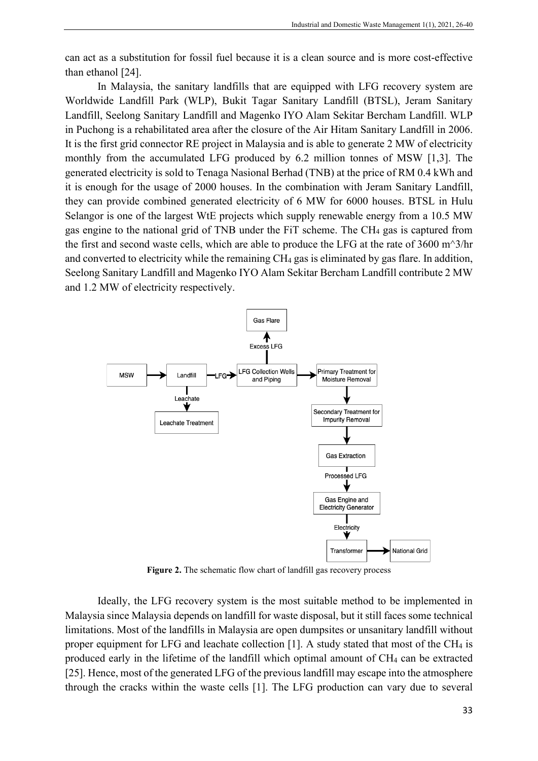can act as a substitution for fossil fuel because it is a clean source and is more cost-effective than ethanol [24].

In Malaysia, the sanitary landfills that are equipped with LFG recovery system are Worldwide Landfill Park (WLP), Bukit Tagar Sanitary Landfill (BTSL), Jeram Sanitary Landfill, Seelong Sanitary Landfill and Magenko IYO Alam Sekitar Bercham Landfill. WLP in Puchong is a rehabilitated area after the closure of the Air Hitam Sanitary Landfill in 2006. It is the first grid connector RE project in Malaysia and is able to generate 2 MW of electricity monthly from the accumulated LFG produced by 6.2 million tonnes of MSW [1,3]. The generated electricity is sold to Tenaga Nasional Berhad (TNB) at the price of RM 0.4 kWh and it is enough for the usage of 2000 houses. In the combination with Jeram Sanitary Landfill, they can provide combined generated electricity of 6 MW for 6000 houses. BTSL in Hulu Selangor is one of the largest WtE projects which supply renewable energy from a 10.5 MW gas engine to the national grid of TNB under the FiT scheme. The CH4 gas is captured from the first and second waste cells, which are able to produce the LFG at the rate of 3600 m^3/hr and converted to electricity while the remaining CH4 gas is eliminated by gas flare. In addition, Seelong Sanitary Landfill and Magenko IYO Alam Sekitar Bercham Landfill contribute 2 MW and 1.2 MW of electricity respectively.



Figure 2. The schematic flow chart of landfill gas recovery process

Ideally, the LFG recovery system is the most suitable method to be implemented in Malaysia since Malaysia depends on landfill for waste disposal, but it still faces some technical limitations. Most of the landfills in Malaysia are open dumpsites or unsanitary landfill without proper equipment for LFG and leachate collection [1]. A study stated that most of the CH4 is produced early in the lifetime of the landfill which optimal amount of CH4 can be extracted [25]. Hence, most of the generated LFG of the previous landfill may escape into the atmosphere through the cracks within the waste cells [1]. The LFG production can vary due to several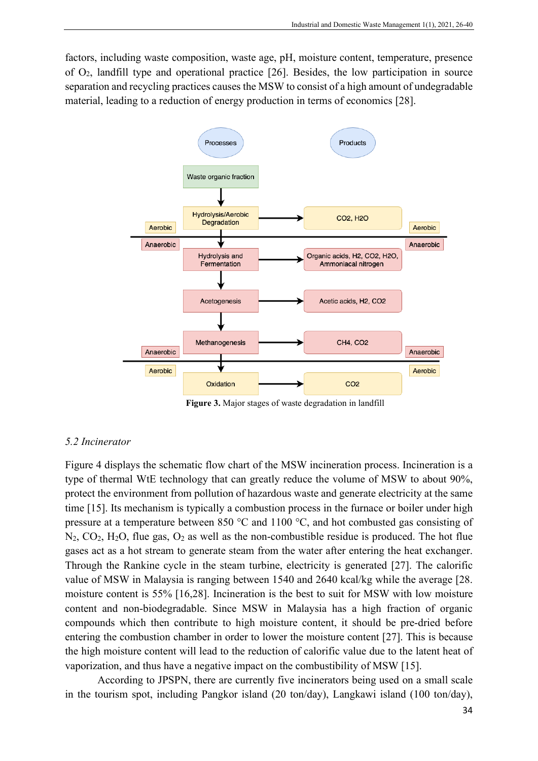factors, including waste composition, waste age, pH, moisture content, temperature, presence of O2, landfill type and operational practice [26]. Besides, the low participation in source separation and recycling practices causes the MSW to consist of a high amount of undegradable material, leading to a reduction of energy production in terms of economics [28].



**Figure 3.** Major stages of waste degradation in landfill

## *5.2 Incinerator*

Figure 4 displays the schematic flow chart of the MSW incineration process. Incineration is a type of thermal WtE technology that can greatly reduce the volume of MSW to about 90%, protect the environment from pollution of hazardous waste and generate electricity at the same time [15]. Its mechanism is typically a combustion process in the furnace or boiler under high pressure at a temperature between 850 °C and 1100 °C, and hot combusted gas consisting of  $N_2$ ,  $CO_2$ ,  $H_2O$ , flue gas,  $O_2$  as well as the non-combustible residue is produced. The hot flue gases act as a hot stream to generate steam from the water after entering the heat exchanger. Through the Rankine cycle in the steam turbine, electricity is generated [27]. The calorific value of MSW in Malaysia is ranging between 1540 and 2640 kcal/kg while the average [28. moisture content is 55% [16,28]. Incineration is the best to suit for MSW with low moisture content and non-biodegradable. Since MSW in Malaysia has a high fraction of organic compounds which then contribute to high moisture content, it should be pre-dried before entering the combustion chamber in order to lower the moisture content [27]. This is because the high moisture content will lead to the reduction of calorific value due to the latent heat of vaporization, and thus have a negative impact on the combustibility of MSW [15].

According to JPSPN, there are currently five incinerators being used on a small scale in the tourism spot, including Pangkor island (20 ton/day), Langkawi island (100 ton/day),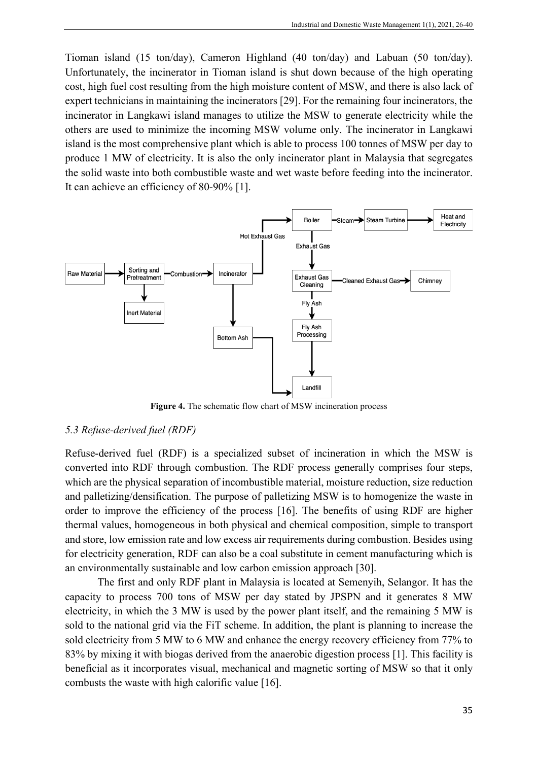Tioman island (15 ton/day), Cameron Highland (40 ton/day) and Labuan (50 ton/day). Unfortunately, the incinerator in Tioman island is shut down because of the high operating cost, high fuel cost resulting from the high moisture content of MSW, and there is also lack of expert technicians in maintaining the incinerators [29]. For the remaining four incinerators, the incinerator in Langkawi island manages to utilize the MSW to generate electricity while the others are used to minimize the incoming MSW volume only. The incinerator in Langkawi island is the most comprehensive plant which is able to process 100 tonnes of MSW per day to produce 1 MW of electricity. It is also the only incinerator plant in Malaysia that segregates the solid waste into both combustible waste and wet waste before feeding into the incinerator. It can achieve an efficiency of 80-90% [1].



**Figure 4.** The schematic flow chart of MSW incineration process

## *5.3 Refuse-derived fuel (RDF)*

Refuse-derived fuel (RDF) is a specialized subset of incineration in which the MSW is converted into RDF through combustion. The RDF process generally comprises four steps, which are the physical separation of incombustible material, moisture reduction, size reduction and palletizing/densification. The purpose of palletizing MSW is to homogenize the waste in order to improve the efficiency of the process [16]. The benefits of using RDF are higher thermal values, homogeneous in both physical and chemical composition, simple to transport and store, low emission rate and low excess air requirements during combustion. Besides using for electricity generation, RDF can also be a coal substitute in cement manufacturing which is an environmentally sustainable and low carbon emission approach [30].

The first and only RDF plant in Malaysia is located at Semenyih, Selangor. It has the capacity to process 700 tons of MSW per day stated by JPSPN and it generates 8 MW electricity, in which the 3 MW is used by the power plant itself, and the remaining 5 MW is sold to the national grid via the FiT scheme. In addition, the plant is planning to increase the sold electricity from 5 MW to 6 MW and enhance the energy recovery efficiency from 77% to 83% by mixing it with biogas derived from the anaerobic digestion process [1]. This facility is beneficial as it incorporates visual, mechanical and magnetic sorting of MSW so that it only combusts the waste with high calorific value [16].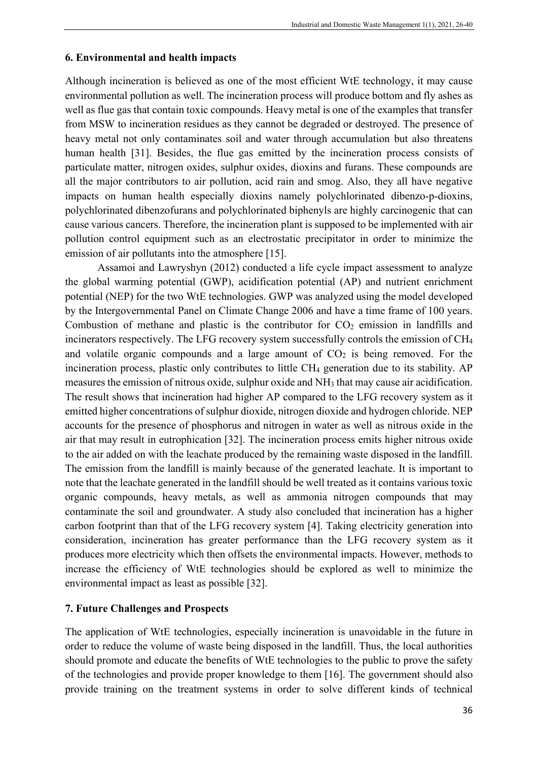## **6. Environmental and health impacts**

Although incineration is believed as one of the most efficient WtE technology, it may cause environmental pollution as well. The incineration process will produce bottom and fly ashes as well as flue gas that contain toxic compounds. Heavy metal is one of the examples that transfer from MSW to incineration residues as they cannot be degraded or destroyed. The presence of heavy metal not only contaminates soil and water through accumulation but also threatens human health [31]. Besides, the flue gas emitted by the incineration process consists of particulate matter, nitrogen oxides, sulphur oxides, dioxins and furans. These compounds are all the major contributors to air pollution, acid rain and smog. Also, they all have negative impacts on human health especially dioxins namely polychlorinated dibenzo-p-dioxins, polychlorinated dibenzofurans and polychlorinated biphenyls are highly carcinogenic that can cause various cancers. Therefore, the incineration plant is supposed to be implemented with air pollution control equipment such as an electrostatic precipitator in order to minimize the emission of air pollutants into the atmosphere [15].

Assamoi and Lawryshyn (2012) conducted a life cycle impact assessment to analyze the global warming potential (GWP), acidification potential (AP) and nutrient enrichment potential (NEP) for the two WtE technologies. GWP was analyzed using the model developed by the Intergovernmental Panel on Climate Change 2006 and have a time frame of 100 years. Combustion of methane and plastic is the contributor for  $CO<sub>2</sub>$  emission in landfills and incinerators respectively. The LFG recovery system successfully controls the emission of CH4 and volatile organic compounds and a large amount of  $CO<sub>2</sub>$  is being removed. For the incineration process, plastic only contributes to little CH4 generation due to its stability. AP measures the emission of nitrous oxide, sulphur oxide and NH<sub>3</sub> that may cause air acidification. The result shows that incineration had higher AP compared to the LFG recovery system as it emitted higher concentrations of sulphur dioxide, nitrogen dioxide and hydrogen chloride. NEP accounts for the presence of phosphorus and nitrogen in water as well as nitrous oxide in the air that may result in eutrophication [32]. The incineration process emits higher nitrous oxide to the air added on with the leachate produced by the remaining waste disposed in the landfill. The emission from the landfill is mainly because of the generated leachate. It is important to note that the leachate generated in the landfill should be well treated as it contains various toxic organic compounds, heavy metals, as well as ammonia nitrogen compounds that may contaminate the soil and groundwater. A study also concluded that incineration has a higher carbon footprint than that of the LFG recovery system [4]. Taking electricity generation into consideration, incineration has greater performance than the LFG recovery system as it produces more electricity which then offsets the environmental impacts. However, methods to increase the efficiency of WtE technologies should be explored as well to minimize the environmental impact as least as possible [32].

## **7. Future Challenges and Prospects**

The application of WtE technologies, especially incineration is unavoidable in the future in order to reduce the volume of waste being disposed in the landfill. Thus, the local authorities should promote and educate the benefits of WtE technologies to the public to prove the safety of the technologies and provide proper knowledge to them [16]. The government should also provide training on the treatment systems in order to solve different kinds of technical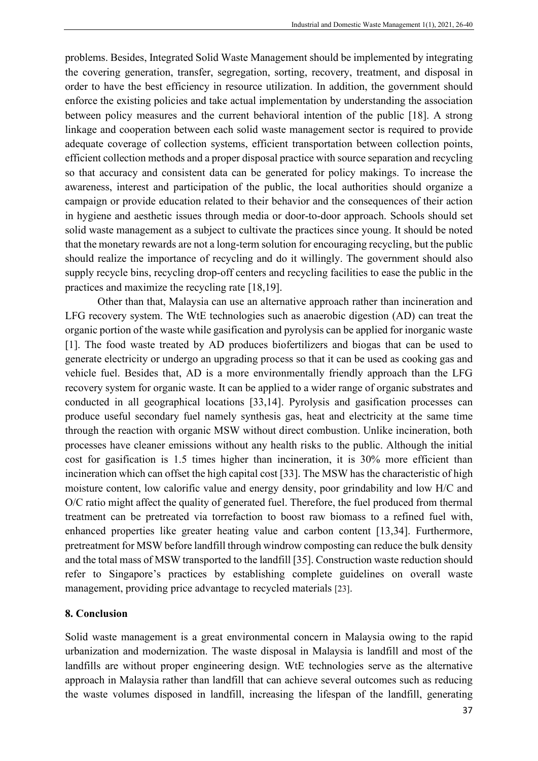problems. Besides, Integrated Solid Waste Management should be implemented by integrating the covering generation, transfer, segregation, sorting, recovery, treatment, and disposal in order to have the best efficiency in resource utilization. In addition, the government should enforce the existing policies and take actual implementation by understanding the association between policy measures and the current behavioral intention of the public [18]. A strong linkage and cooperation between each solid waste management sector is required to provide adequate coverage of collection systems, efficient transportation between collection points, efficient collection methods and a proper disposal practice with source separation and recycling so that accuracy and consistent data can be generated for policy makings. To increase the awareness, interest and participation of the public, the local authorities should organize a campaign or provide education related to their behavior and the consequences of their action in hygiene and aesthetic issues through media or door-to-door approach. Schools should set solid waste management as a subject to cultivate the practices since young. It should be noted that the monetary rewards are not a long-term solution for encouraging recycling, but the public should realize the importance of recycling and do it willingly. The government should also supply recycle bins, recycling drop-off centers and recycling facilities to ease the public in the practices and maximize the recycling rate [18,19].

Other than that, Malaysia can use an alternative approach rather than incineration and LFG recovery system. The WtE technologies such as anaerobic digestion (AD) can treat the organic portion of the waste while gasification and pyrolysis can be applied for inorganic waste [1]. The food waste treated by AD produces biofertilizers and biogas that can be used to generate electricity or undergo an upgrading process so that it can be used as cooking gas and vehicle fuel. Besides that, AD is a more environmentally friendly approach than the LFG recovery system for organic waste. It can be applied to a wider range of organic substrates and conducted in all geographical locations [33,14]. Pyrolysis and gasification processes can produce useful secondary fuel namely synthesis gas, heat and electricity at the same time through the reaction with organic MSW without direct combustion. Unlike incineration, both processes have cleaner emissions without any health risks to the public. Although the initial cost for gasification is 1.5 times higher than incineration, it is 30% more efficient than incineration which can offset the high capital cost [33]. The MSW has the characteristic of high moisture content, low calorific value and energy density, poor grindability and low H/C and O/C ratio might affect the quality of generated fuel. Therefore, the fuel produced from thermal treatment can be pretreated via torrefaction to boost raw biomass to a refined fuel with, enhanced properties like greater heating value and carbon content [13,34]. Furthermore, pretreatment for MSW before landfill through windrow composting can reduce the bulk density and the total mass of MSW transported to the landfill [35]. Construction waste reduction should refer to Singapore's practices by establishing complete guidelines on overall waste management, providing price advantage to recycled materials [23].

## **8. Conclusion**

Solid waste management is a great environmental concern in Malaysia owing to the rapid urbanization and modernization. The waste disposal in Malaysia is landfill and most of the landfills are without proper engineering design. WtE technologies serve as the alternative approach in Malaysia rather than landfill that can achieve several outcomes such as reducing the waste volumes disposed in landfill, increasing the lifespan of the landfill, generating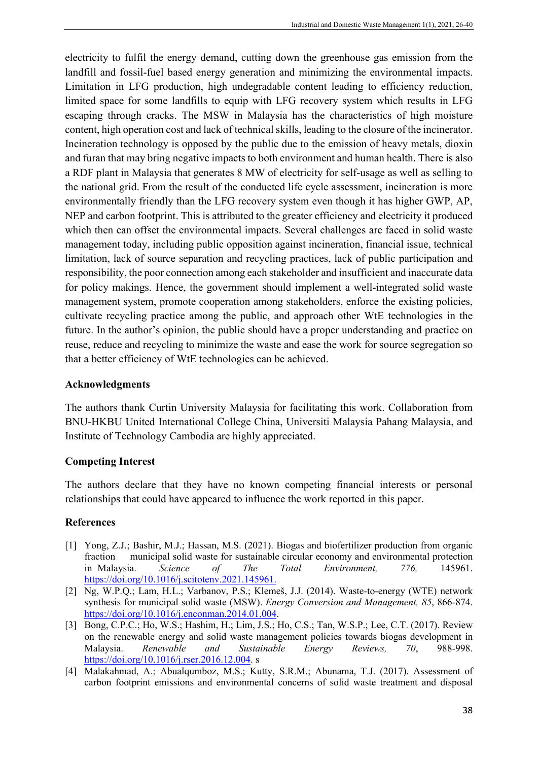electricity to fulfil the energy demand, cutting down the greenhouse gas emission from the landfill and fossil-fuel based energy generation and minimizing the environmental impacts. Limitation in LFG production, high undegradable content leading to efficiency reduction, limited space for some landfills to equip with LFG recovery system which results in LFG escaping through cracks. The MSW in Malaysia has the characteristics of high moisture content, high operation cost and lack of technical skills, leading to the closure of the incinerator. Incineration technology is opposed by the public due to the emission of heavy metals, dioxin and furan that may bring negative impacts to both environment and human health. There is also a RDF plant in Malaysia that generates 8 MW of electricity for self-usage as well as selling to the national grid. From the result of the conducted life cycle assessment, incineration is more environmentally friendly than the LFG recovery system even though it has higher GWP, AP, NEP and carbon footprint. This is attributed to the greater efficiency and electricity it produced which then can offset the environmental impacts. Several challenges are faced in solid waste management today, including public opposition against incineration, financial issue, technical limitation, lack of source separation and recycling practices, lack of public participation and responsibility, the poor connection among each stakeholder and insufficient and inaccurate data for policy makings. Hence, the government should implement a well-integrated solid waste management system, promote cooperation among stakeholders, enforce the existing policies, cultivate recycling practice among the public, and approach other WtE technologies in the future. In the author's opinion, the public should have a proper understanding and practice on reuse, reduce and recycling to minimize the waste and ease the work for source segregation so that a better efficiency of WtE technologies can be achieved.

## **Acknowledgments**

The authors thank Curtin University Malaysia for facilitating this work. Collaboration from BNU-HKBU United International College China, Universiti Malaysia Pahang Malaysia, and Institute of Technology Cambodia are highly appreciated.

# **Competing Interest**

The authors declare that they have no known competing financial interests or personal relationships that could have appeared to influence the work reported in this paper.

# **References**

- [1] Yong, Z.J.; Bashir, M.J.; Hassan, M.S. (2021). Biogas and biofertilizer production from organic fraction municipal solid waste for sustainable circular economy and environmental protection in Malaysia. *Science of The Total Environment, 776,* 145961. [https://doi.org/10.1016/j.scitotenv.2021.145961.](https://doi.org/10.1016/j.scitotenv.2021.145961)
- [2] Ng, W.P.Q.; Lam, H.L.; Varbanov, P.S.; Klemeš, J.J. (2014). Waste-to-energy (WTE) network synthesis for municipal solid waste (MSW). *Energy Conversion and Management, 85*, 866-874. [https://doi.org/10.1016/j.enconman.2014.01.004.](https://doi.org/10.1016/j.enconman.2014.01.004)
- [3] Bong, C.P.C.; Ho, W.S.; Hashim, H.; Lim, J.S.; Ho, C.S.; Tan, W.S.P.; Lee, C.T. (2017). Review on the renewable energy and solid waste management policies towards biogas development in Malaysia. *Renewable and Sustainable Energy Reviews, 70*, 988-998. [https://doi.org/10.1016/j.rser.2016.12.004.](https://doi.org/10.1016/j.rser.2016.12.004) s
- [4] Malakahmad, A.; Abualqumboz, M.S.; Kutty, S.R.M.; Abunama, T.J. (2017). Assessment of carbon footprint emissions and environmental concerns of solid waste treatment and disposal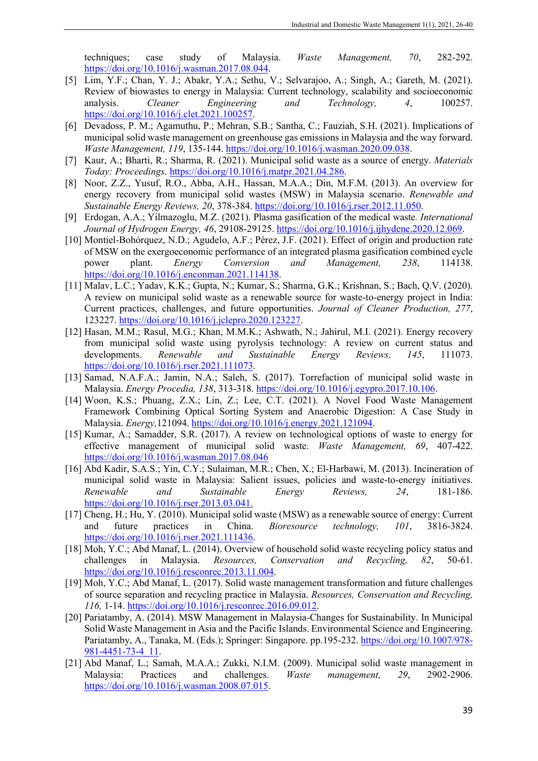techniques; case study of Malaysia. *Waste Management, 70*, 282-292. [https://doi.org/10.1016/j.wasman.2017.08.044.](https://doi.org/10.1016/j.wasman.2017.08.044)

- [5] Lim, Y.F.; Chan, Y. J.; Abakr, Y.A.; Sethu, V.; Selvarajoo, A.; Singh, A.; Gareth, M. (2021). Review of biowastes to energy in Malaysia: Current technology, scalability and socioeconomic analysis. *Cleaner Engineering and Technology, 4*, 100257. [https://doi.org/10.1016/j.clet.2021.100257.](https://doi.org/10.1016/j.clet.2021.100257)
- [6] Devadoss, P. M.; Agamuthu, P.; Mehran, S.B.; Santha, C.; Fauziah, S.H. (2021). Implications of municipal solid waste management on greenhouse gas emissions in Malaysia and the way forward. *Waste Management, 119*, 135-144. [https://doi.org/10.1016/j.wasman.2020.09.038.](https://doi.org/10.1016/j.wasman.2020.09.038)
- [7] Kaur, A.; Bharti, R.; Sharma, R. (2021). Municipal solid waste as a source of energy. *Materials Today: Proceedings*[. https://doi.org/10.1016/j.matpr.2021.04.286.](https://doi.org/10.1016/j.matpr.2021.04.286)
- [8] Noor, Z.Z., Yusuf, R.O., Abba, A.H., Hassan, M.A.A.; Din, M.F.M. (2013). An overview for energy recovery from municipal solid wastes (MSW) in Malaysia scenario. *Renewable and Sustainable Energy Reviews, 20*, 378-384. [https://doi.org/10.1016/j.rser.2012.11.050.](https://doi.org/10.1016/j.rser.2012.11.050)
- [9] Erdogan, A.A.; Yilmazoglu, M.Z. (2021). Plasma gasification of the medical waste*. International Journal of Hydrogen Energy, 46*, 29108-29125. [https://doi.org/10.1016/j.ijhydene.2020.12.069.](https://doi.org/10.1016/j.ijhydene.2020.12.069)
- [10] Montiel-Bohórquez, N.D.; Agudelo, A.F.; Pérez, J.F. (2021). Effect of origin and production rate of MSW on the exergoeconomic performance of an integrated plasma gasification combined cycle power plant. *Energy Conversion and Management, 238*, 114138. [https://doi.org/10.1016/j.enconman.2021.114138.](https://doi.org/10.1016/j.enconman.2021.114138)
- [11] Malav, L.C.; Yadav, K.K.; Gupta, N.; Kumar, S.; Sharma, G.K.; Krishnan, S.; Bach, Q.V. (2020). A review on municipal solid waste as a renewable source for waste-to-energy project in India: Current practices, challenges, and future opportunities. *Journal of Cleaner Production, 277*, 123227. [https://doi.org/10.1016/j.jclepro.2020.123227.](https://doi.org/10.1016/j.jclepro.2020.123227)
- [12] Hasan, M.M.; Rasul, M.G.; Khan, M.M.K.; Ashwath, N.; Jahirul, M.I. (2021). Energy recovery from municipal solid waste using pyrolysis technology: A review on current status and developments. *Renewable and Sustainable Energy Reviews, 145*, 111073. [https://doi.org/10.1016/j.rser.2021.111073.](https://doi.org/10.1016/j.rser.2021.111073)
- [13] Samad, N.A.F.A.; Jamin, N.A.; Saleh, S. (2017). Torrefaction of municipal solid waste in Malaysia. *Energy Procedia, 138*, 313-318[. https://doi.org/10.1016/j.egypro.2017.10.106.](https://doi.org/10.1016/j.egypro.2017.10.106)
- [14] Woon, K.S.; Phuang, Z.X.; Lin, Z.; Lee, C.T. (2021). A Novel Food Waste Management Framework Combining Optical Sorting System and Anaerobic Digestion: A Case Study in Malaysia. *Energy,*121094. [https://doi.org/10.1016/j.energy.2021.121094.](https://doi.org/10.1016/j.energy.2021.121094)
- [15] Kumar, A.; Samadder, S.R. (2017). A review on technological options of waste to energy for effective management of municipal solid waste. *Waste Management, 69*, 407-422. <https://doi.org/10.1016/j.wasman.2017.08.046>
- [16] Abd Kadir, S.A.S.; Yin, C.Y.; Sulaiman, M.R.; Chen, X.; El-Harbawi, M. (2013). Incineration of municipal solid waste in Malaysia: Salient issues, policies and waste-to-energy initiatives. *Renewable and Sustainable Energy Reviews, 24*, 181-186. [https://doi.org/10.1016/j.rser.2013.03.041.](https://doi.org/10.1016/j.rser.2013.03.041)
- [17] Cheng, H.; Hu, Y. (2010). Municipal solid waste (MSW) as a renewable source of energy: Current and future practices in China. *Bioresource technology, 101*, 3816-3824. [https://doi.org/10.1016/j.rser.2021.111436.](https://doi.org/10.1016/j.rser.2021.111436)
- [18] Moh, Y.C.; Abd Manaf, L. (2014). Overview of household solid waste recycling policy status and challenges in Malaysia. *Resources, Conservation and Recycling, 82*, 50-61. [https://doi.org/10.1016/j.resconrec.2013.11.004.](https://doi.org/10.1016/j.resconrec.2013.11.004)
- [19] Moh, Y.C.; Abd Manaf, L. (2017). Solid waste management transformation and future challenges of source separation and recycling practice in Malaysia. *Resources, Conservation and Recycling, 116,* 1-14. [https://doi.org/10.1016/j.resconrec.2016.09.012.](https://doi.org/10.1016/j.resconrec.2016.09.012)
- [20] Pariatamby, A. (2014). MSW Management in Malaysia-Changes for Sustainability. In Municipal Solid Waste Management in Asia and the Pacific Islands. Environmental Science and Engineering. Pariatamby, A., Tanaka, M. (Eds.); Springer: Singapore. pp.195-232. [https://doi.org/10.1007/978-](https://doi.org/10.1007/978-981-4451-73-4_11) [981-4451-73-4\\_11.](https://doi.org/10.1007/978-981-4451-73-4_11)
- [21] Abd Manaf, L.; Samah, M.A.A.; Zukki, N.I.M. (2009). Municipal solid waste management in Malaysia: Practices and challenges. *Waste management, 29*, 2902-2906. [https://doi.org/10.1016/j.wasman.2008.07.015.](https://doi.org/10.1016/j.wasman.2008.07.015)